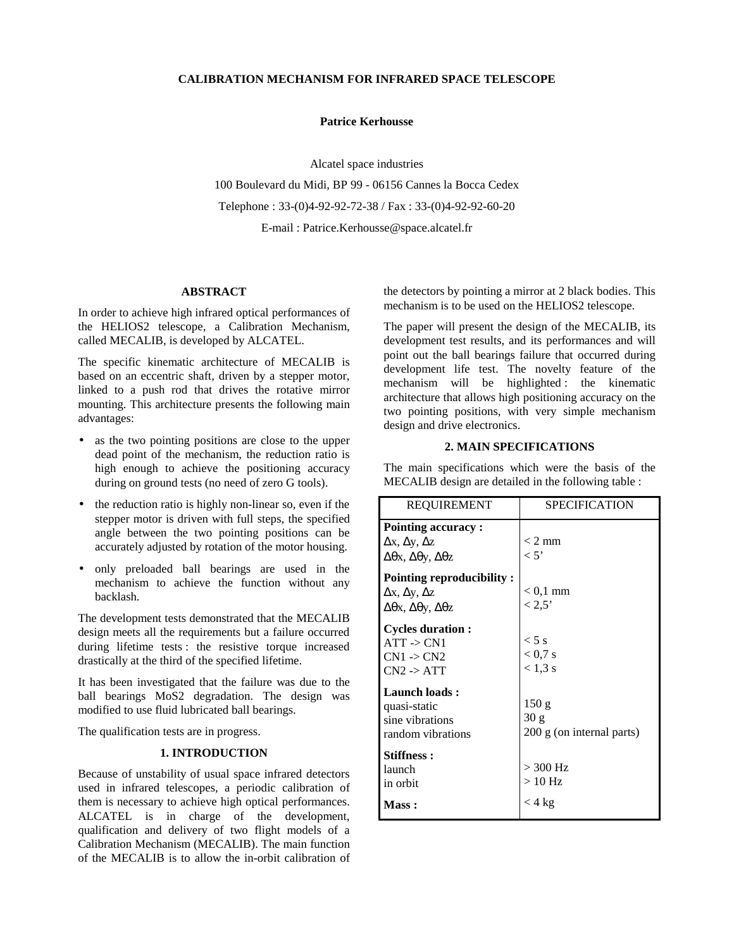## **CALIBRATION MECHANISM FOR INFRARED SPACE TELESCOPE**

#### **Patrice Kerhousse**

Alcatel space industries 100 Boulevard du Midi, BP 99 - 06156 Cannes la Bocca Cedex Telephone : 33-(0)4-92-92-72-38 / Fax : 33-(0)4-92-92-60-20 E-mail : Patrice.Kerhousse@space.alcatel.fr

### **ABSTRACT**

In order to achieve high infrared optical performances of the HELIOS2 telescope, a Calibration Mechanism, called MECALIB, is developed by ALCATEL.

The specific kinematic architecture of MECALIB is based on an eccentric shaft, driven by a stepper motor, linked to a push rod that drives the rotative mirror mounting. This architecture presents the following main advantages:

- as the two pointing positions are close to the upper dead point of the mechanism, the reduction ratio is high enough to achieve the positioning accuracy during on ground tests (no need of zero G tools).
- the reduction ratio is highly non-linear so, even if the stepper motor is driven with full steps, the specified angle between the two pointing positions can be accurately adjusted by rotation of the motor housing.
- only preloaded ball bearings are used in the mechanism to achieve the function without any backlash.

The development tests demonstrated that the MECALIB design meets all the requirements but a failure occurred during lifetime tests : the resistive torque increased drastically at the third of the specified lifetime.

It has been investigated that the failure was due to the ball bearings MoS2 degradation. The design was modified to use fluid lubricated ball bearings.

The qualification tests are in progress.

#### **1. INTRODUCTION**

Because of unstability of usual space infrared detectors used in infrared telescopes, a periodic calibration of them is necessary to achieve high optical performances. ALCATEL is in charge of the development, qualification and delivery of two flight models of a Calibration Mechanism (MECALIB). The main function of the MECALIB is to allow the in-orbit calibration of

the detectors by pointing a mirror at 2 black bodies. This mechanism is to be used on the HELIOS2 telescope.

The paper will present the design of the MECALIB, its development test results, and its performances and will point out the ball bearings failure that occurred during development life test. The novelty feature of the mechanism will be highlighted : the kinematic architecture that allows high positioning accuracy on the two pointing positions, with very simple mechanism design and drive electronics.

#### **2. MAIN SPECIFICATIONS**

The main specifications which were the basis of the MECALIB design are detailed in the following table :

| <b>REQUIREMENT</b>                                                                                                  | <b>SPECIFICATION</b>                       |
|---------------------------------------------------------------------------------------------------------------------|--------------------------------------------|
| <b>Pointing accuracy:</b><br>$\Delta x, \Delta y, \Delta z$<br>$\Delta\theta$ x, $\Delta\theta$ y, $\Delta\theta$ z | $<$ 2 mm<br>< 5'                           |
| Pointing reproducibility:<br>$\Delta x, \Delta y, \Delta z$<br>$\Delta\theta$ x, $\Delta\theta$ y, $\Delta\theta$ z | $< 0.1$ mm<br>$< 2.5$ '                    |
| <b>Cycles duration:</b><br>$ATT \rightarrow CN1$<br>$CN1 - > CN2$<br>$CN2 \rightarrow ATT$                          | $< 5$ s<br>$< 0.7$ s<br>$< 1.3$ s          |
| Launch loads:<br>quasi-static<br>sine vibrations<br>random vibrations                                               | 150 g<br>30 g<br>200 g (on internal parts) |
| <b>Stiffness:</b><br>launch<br>in orbit                                                                             | $>$ 300 Hz<br>$>10$ Hz                     |
| Mass:                                                                                                               | $<$ 4 kg                                   |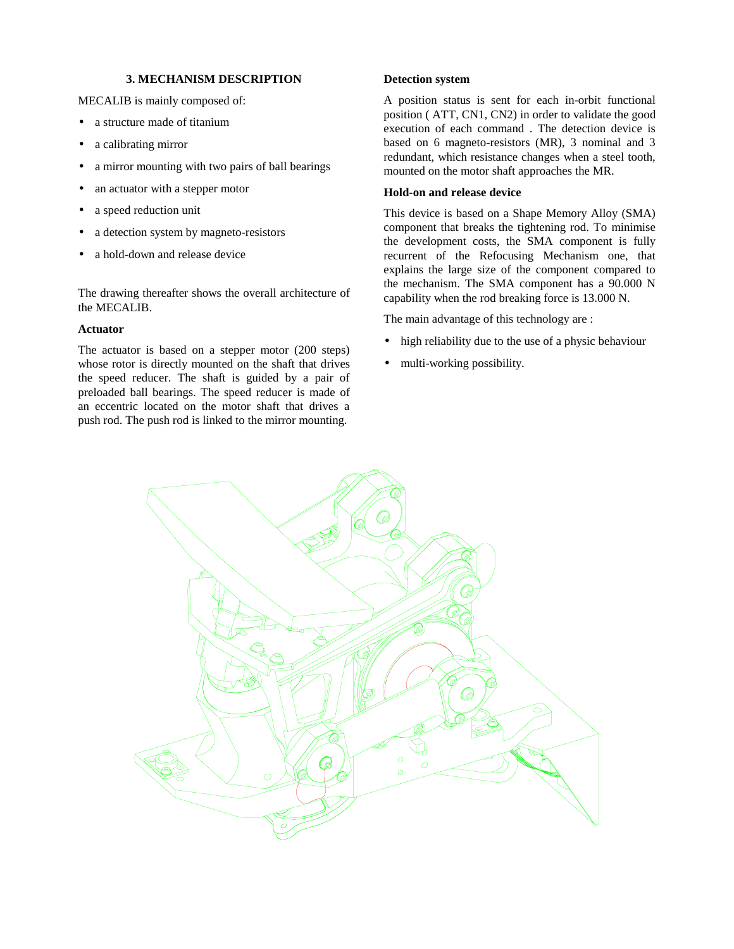## **3. MECHANISM DESCRIPTION**

MECALIB is mainly composed of:

- a structure made of titanium
- a calibrating mirror
- a mirror mounting with two pairs of ball bearings
- an actuator with a stepper motor
- a speed reduction unit
- a detection system by magneto-resistors
- a hold-down and release device

The drawing thereafter shows the overall architecture of the MECALIB.

#### **Actuator**

The actuator is based on a stepper motor (200 steps) whose rotor is directly mounted on the shaft that drives the speed reducer. The shaft is guided by a pair of preloaded ball bearings. The speed reducer is made of an eccentric located on the motor shaft that drives a push rod. The push rod is linked to the mirror mounting.

# **Detection system**

A position status is sent for each in-orbit functional position ( ATT, CN1, CN2) in order to validate the good execution of each command . The detection device is based on 6 magneto-resistors (MR), 3 nominal and 3 redundant, which resistance changes when a steel tooth, mounted on the motor shaft approaches the MR.

# **Hold-on and release device**

This device is based on a Shape Memory Alloy (SMA) component that breaks the tightening rod. To minimise the development costs, the SMA component is fully recurrent of the Refocusing Mechanism one, that explains the large size of the component compared to the mechanism. The SMA component has a 90.000 N capability when the rod breaking force is 13.000 N.

The main advantage of this technology are :

- high reliability due to the use of a physic behaviour
- multi-working possibility.

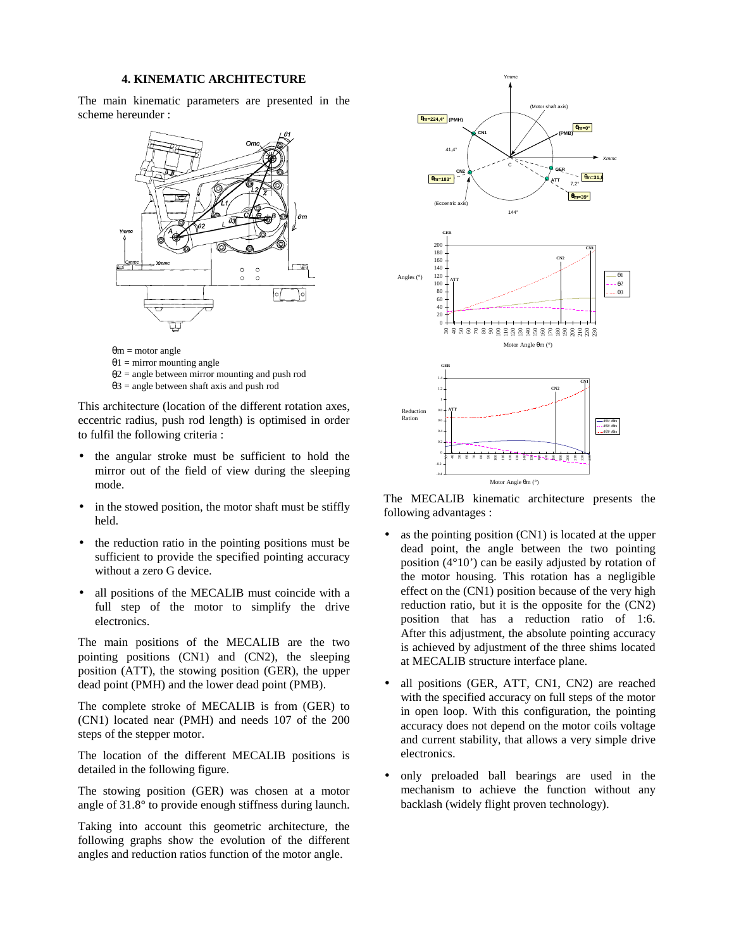## **4. KINEMATIC ARCHITECTURE**

The main kinematic parameters are presented in the scheme hereunder :



 $θ1 = mirror$  mounting angle

 $\theta$ 2 = angle between mirror mounting and push rod

 $\theta$ 3 = angle between shaft axis and push rod

This architecture (location of the different rotation axes, eccentric radius, push rod length) is optimised in order to fulfil the following criteria :

- the angular stroke must be sufficient to hold the mirror out of the field of view during the sleeping mode.
- in the stowed position, the motor shaft must be stiffly held.
- the reduction ratio in the pointing positions must be sufficient to provide the specified pointing accuracy without a zero G device.
- all positions of the MECALIB must coincide with a full step of the motor to simplify the drive electronics.

The main positions of the MECALIB are the two pointing positions (CN1) and (CN2), the sleeping position (ATT), the stowing position (GER), the upper dead point (PMH) and the lower dead point (PMB).

The complete stroke of MECALIB is from (GER) to (CN1) located near (PMH) and needs 107 of the 200 steps of the stepper motor.

The location of the different MECALIB positions is detailed in the following figure.

The stowing position (GER) was chosen at a motor angle of 31.8° to provide enough stiffness during launch.

Taking into account this geometric architecture, the following graphs show the evolution of the different angles and reduction ratios function of the motor angle.



The MECALIB kinematic architecture presents the following advantages :

- as the pointing position (CN1) is located at the upper dead point, the angle between the two pointing position (4°10') can be easily adjusted by rotation of the motor housing. This rotation has a negligible effect on the (CN1) position because of the very high reduction ratio, but it is the opposite for the (CN2) position that has a reduction ratio of 1:6. After this adjustment, the absolute pointing accuracy is achieved by adjustment of the three shims located at MECALIB structure interface plane.
- all positions (GER, ATT, CN1, CN2) are reached with the specified accuracy on full steps of the motor in open loop. With this configuration, the pointing accuracy does not depend on the motor coils voltage and current stability, that allows a very simple drive electronics.
- only preloaded ball bearings are used in the mechanism to achieve the function without any backlash (widely flight proven technology).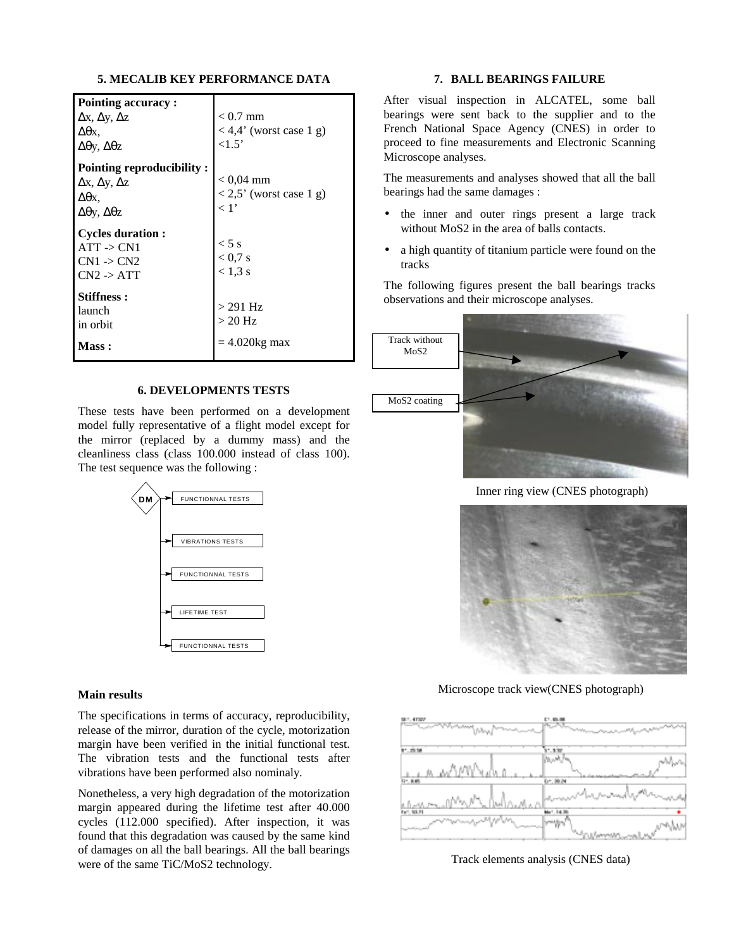## **5. MECALIB KEY PERFORMANCE DATA**

| Pointing accuracy:                                                                  |                                 |
|-------------------------------------------------------------------------------------|---------------------------------|
| $\Delta x, \Delta y, \Delta z$                                                      | $< 0.7$ mm                      |
| Δθх.                                                                                | $<$ 4,4' (worst case 1 g)       |
| $\Delta \theta y$ , $\Delta \theta z$                                               | ${<}1.5'$                       |
| Pointing reproducibility:                                                           |                                 |
| $\Delta x, \Delta y, \Delta z$                                                      | $< 0.04 \text{ mm}$             |
| Δθх.                                                                                | $< 2.5$ ' (worst case 1 g)      |
| $\Delta θ$ γ, $\Delta θ$ z                                                          | $\langle 1$ '                   |
| <b>Cycles duration:</b><br>$ATT \rightarrow CN1$<br>$CN1 - > CN2$<br>$CN2$ -> $ATT$ | $< 5$ s<br>< 0.7 s<br>$< 1.3$ s |
| <b>Stiffness :</b><br>launch<br>in orbit                                            | $>$ 291 Hz<br>$>20$ Hz          |
| <b>Mass :</b>                                                                       | $=4.020$ kg max                 |

#### **6. DEVELOPMENTS TESTS**

These tests have been performed on a development model fully representative of a flight model except for the mirror (replaced by a dummy mass) and the cleanliness class (class 100.000 instead of class 100). The test sequence was the following :



#### **Main results**

The specifications in terms of accuracy, reproducibility, release of the mirror, duration of the cycle, motorization margin have been verified in the initial functional test. The vibration tests and the functional tests after vibrations have been performed also nominaly.

Nonetheless, a very high degradation of the motorization margin appeared during the lifetime test after 40.000 cycles (112.000 specified). After inspection, it was found that this degradation was caused by the same kind of damages on all the ball bearings. All the ball bearings were of the same TiC/MoS2 technology.

# **7. BALL BEARINGS FAILURE**

After visual inspection in ALCATEL, some ball bearings were sent back to the supplier and to the French National Space Agency (CNES) in order to proceed to fine measurements and Electronic Scanning Microscope analyses.

The measurements and analyses showed that all the ball bearings had the same damages :

- the inner and outer rings present a large track without MoS<sub>2</sub> in the area of balls contacts.
- a high quantity of titanium particle were found on the tracks

The following figures present the ball bearings tracks observations and their microscope analyses.



Inner ring view (CNES photograph)



Microscope track view(CNES photograph)



Track elements analysis (CNES data)